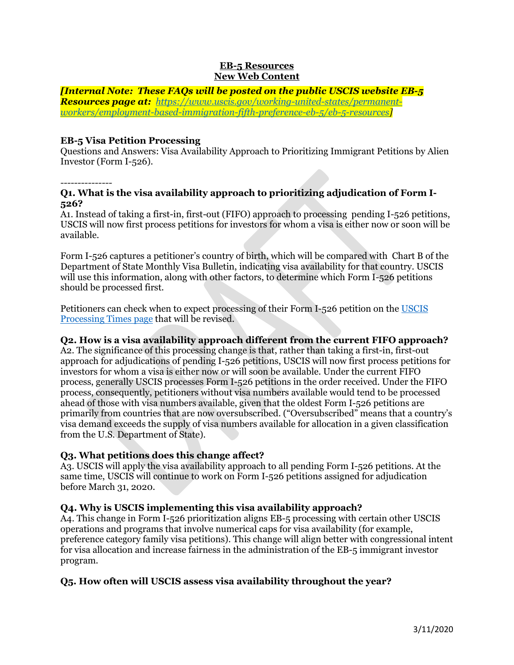#### **EB-5 Resources New Web Content**

*[Internal Note: These FAQs will be posted on the public USCIS website EB-5 Resources page at: [https://www.uscis.gov/working-united-states/permanent](https://www.uscis.gov/working-united-states/permanent-workers/employment-based-immigration-fifth-preference-eb-5/eb-5-resources)[workers/employment-based-immigration-fifth-preference-eb-5/eb-5-resources\]](https://www.uscis.gov/working-united-states/permanent-workers/employment-based-immigration-fifth-preference-eb-5/eb-5-resources)*

#### **EB-5 Visa Petition Processing**

Questions and Answers: Visa Availability Approach to Prioritizing Immigrant Petitions by Alien Investor (Form I-526).

#### *---------------*

#### **Q1. What is the visa availability approach to prioritizing adjudication of Form I-526?**

A1. Instead of taking a first-in, first-out (FIFO) approach to processing pending I-526 petitions, USCIS will now first process petitions for investors for whom a visa is either now or soon will be available.

Form I-526 captures a petitioner's country of birth, which will be compared with Chart B of the Department of State Monthly Visa Bulletin, indicating visa availability for that country. USCIS will use this information, along with other factors, to determine which Form I-526 petitions should be processed first.

Petitioners can check when to expect processing of their Form I-526 petition on the [USCIS](https://egov.uscis.gov/processing-times/)  [Processing Times page](https://egov.uscis.gov/processing-times/) that will be revised.

# **Q2. How is a visa availability approach different from the current FIFO approach?**

A2. The significance of this processing change is that, rather than taking a first-in, first-out approach for adjudications of pending I-526 petitions, USCIS will now first process petitions for investors for whom a visa is either now or will soon be available. Under the current FIFO process, generally USCIS processes Form I-526 petitions in the order received. Under the FIFO process, consequently, petitioners without visa numbers available would tend to be processed ahead of those with visa numbers available, given that the oldest Form I-526 petitions are primarily from countries that are now oversubscribed. ("Oversubscribed" means that a country's visa demand exceeds the supply of visa numbers available for allocation in a given classification from the U.S. Department of State).

# **Q3. What petitions does this change affect?**

A3. USCIS will apply the visa availability approach to all pending Form I-526 petitions. At the same time, USCIS will continue to work on Form I-526 petitions assigned for adjudication before March 31, 2020.

# **Q4. Why is USCIS implementing this visa availability approach?**

A4. This change in Form I-526 prioritization aligns EB-5 processing with certain other USCIS operations and programs that involve numerical caps for visa availability (for example, preference category family visa petitions). This change will align better with congressional intent for visa allocation and increase fairness in the administration of the EB-5 immigrant investor program.

# **Q5. How often will USCIS assess visa availability throughout the year?**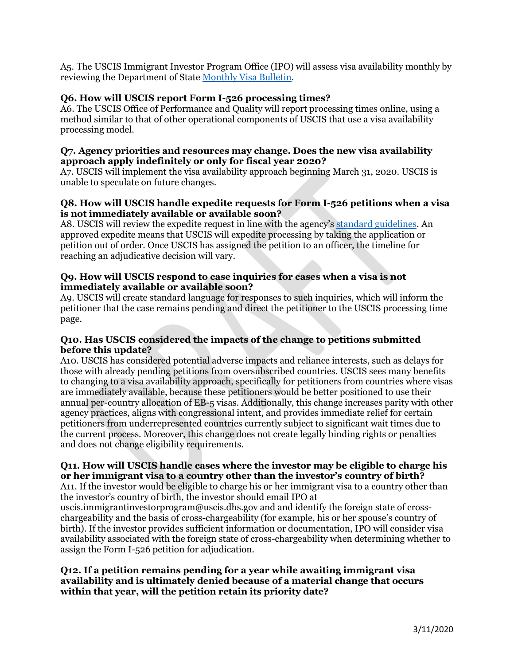A5. The USCIS Immigrant Investor Program Office (IPO) will assess visa availability monthly by reviewing the Department of State Monthly [Visa Bulletin.](https://travel.state.gov/content/travel/en/legal/visa-law0/visa-bulletin.html)

# **Q6. How will USCIS report Form I-526 processing times?**

A6. The USCIS Office of Performance and Quality will report processing times online, using a method similar to that of other operational components of USCIS that use a visa availability processing model.

#### **Q7. Agency priorities and resources may change. Does the new visa availability approach apply indefinitely or only for fiscal year 2020?**

A7. USCIS will implement the visa availability approach beginning March 31, 2020. USCIS is unable to speculate on future changes.

#### **Q8. How will USCIS handle expedite requests for Form I-526 petitions when a visa is not immediately available or available soon?**

A8. USCIS will review the expedite request in line with the agency'[s standard guidelines.](https://www.uscis.gov/forms/forms-information/how-make-expedite-request) An approved expedite means that USCIS will expedite processing by taking the application or petition out of order. Once USCIS has assigned the petition to an officer, the timeline for reaching an adjudicative decision will vary.

#### **Q9. How will USCIS respond to case inquiries for cases when a visa is not immediately available or available soon?**

A9. USCIS will create standard language for responses to such inquiries, which will inform the petitioner that the case remains pending and direct the petitioner to the USCIS processing time page.

# **Q10. Has USCIS considered the impacts of the change to petitions submitted before this update?**

A10. USCIS has considered potential adverse impacts and reliance interests, such as delays for those with already pending petitions from oversubscribed countries. USCIS sees many benefits to changing to a visa availability approach, specifically for petitioners from countries where visas are immediately available, because these petitioners would be better positioned to use their annual per-country allocation of EB-5 visas. Additionally, this change increases parity with other agency practices, aligns with congressional intent, and provides immediate relief for certain petitioners from underrepresented countries currently subject to significant wait times due to the current process. Moreover, this change does not create legally binding rights or penalties and does not change eligibility requirements.

# **Q11. How will USCIS handle cases where the investor may be eligible to charge his or her immigrant visa to a country other than the investor's country of birth?**

A11. If the investor would be eligible to charge his or her immigrant visa to a country other than the investor's country of birth, the investor should email IPO at

uscis.immigrantinvestorprogram@uscis.dhs.gov and and identify the foreign state of crosschargeability and the basis of cross-chargeability (for example, his or her spouse's country of birth). If the investor provides sufficient information or documentation, IPO will consider visa availability associated with the foreign state of cross-chargeability when determining whether to assign the Form I-526 petition for adjudication.

#### **Q12. If a petition remains pending for a year while awaiting immigrant visa availability and is ultimately denied because of a material change that occurs within that year, will the petition retain its priority date?**